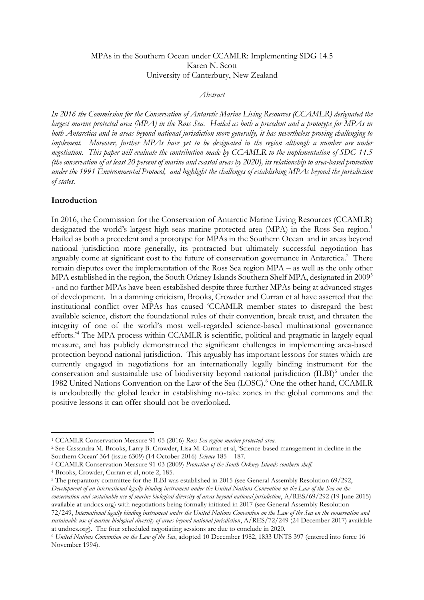### MPAs in the Southern Ocean under CCAMLR: Implementing SDG 14.5 Karen N. Scott University of Canterbury, New Zealand

### *Abstract*

*In 2016 the Commission for the Conservation of Antarctic Marine Living Resources (CCAMLR) designated the largest marine protected area (MPA) in the Ross Sea. Hailed as both a precedent and a prototype for MPAs in both Antarctica and in areas beyond national jurisdiction more generally, it has nevertheless proving challenging to implement.* Moreover, further MPAs have yet to be designated in the region although a number are under *negotiation. This paper will evaluate the contribution made by CCAMLR to the implementation of SDG 14.5 (the conservation of at least 20 percent of marine and coastal areas by 2020), its relationship to area-based protection under the 1991 Environmental Protocol, and highlight the challenges of establishing MPAs beyond the jurisdiction of states.*

#### **Introduction**

In 2016, the Commission for the Conservation of Antarctic Marine Living Resources (CCAMLR) designated the world's largest high seas marine protected area (MPA) in the Ross Sea region.<sup>1</sup> Hailed as both a precedent and a prototype for MPAs in the Southern Ocean and in areas beyond national jurisdiction more generally, its protracted but ultimately successful negotiation has arguably come at significant cost to the future of conservation governance in Antarctica.<sup>2</sup> There remain disputes over the implementation of the Ross Sea region MPA – as well as the only other MPA established in the region, the South Orkney Islands Southern Shelf MPA, designated in 2009<sup>3</sup> - and no further MPAs have been established despite three further MPAs being at advanced stages of development. In a damning criticism, Brooks, Crowder and Curran et al have asserted that the institutional conflict over MPAs has caused 'CCAMLR member states to disregard the best available science, distort the foundational rules of their convention, break trust, and threaten the integrity of one of the world's most well-regarded science-based multinational governance efforts.'<sup>4</sup> The MPA process within CCAMLR is scientific, political and pragmatic in largely equal measure, and has publicly demonstrated the significant challenges in implementing area-based protection beyond national jurisdiction. This arguably has important lessons for states which are currently engaged in negotiations for an internationally legally binding instrument for the conservation and sustainable use of biodiversity beyond national jurisdiction (ILBI)<sup>5</sup> under the 1982 United Nations Convention on the Law of the Sea (LOSC).<sup>6</sup> One the other hand, CCAMLR is undoubtedly the global leader in establishing no-take zones in the global commons and the positive lessons it can offer should not be overlooked.

 $\overline{a}$ 

<sup>5</sup> The preparatory committee for the ILBI was established in 2015 (see General Assembly Resolution 69/292, *Development of an international legally binding instrument under the United Nations Convention on the Law of the Sea on the conservation and sustainable use of marine biological diversity of areas beyond national jurisdiction*, A/RES/69/292 (19 June 2015)

available at undocs.org) with negotiations being formally initiated in 2017 (see General Assembly Resolution 72/249, *International legally binding instrument under the United Nations Convention on the Law of the Sea on the conservation and sustainable use of marine biological diversity of areas beyond national jurisdiction*, A/RES/72/249 (24 December 2017) available at undocs.org). The four scheduled negotiating sessions are due to conclude in 2020.

<sup>1</sup> CCAMLR Conservation Measure 91-05 (2016) *Ross Sea region marine protected area.*

<sup>2</sup> See Cassandra M. Brooks, Larry B. Crowder, Lisa M. Curran et al, 'Science-based management in decline in the Southern Ocean' 364 (issue 6309) (14 October 2016) *Science* 185 – 187.

<sup>3</sup> CCAMLR Conservation Measure 91-03 (2009) *Protection of the South Orkney Islands southern shelf.*

<sup>4</sup> Brooks, Crowder, Curran et al, note 2, 185.

<sup>6</sup> *United Nations Convention on the Law of the Sea*, adopted 10 December 1982, 1833 UNTS 397 (entered into force 16 November 1994).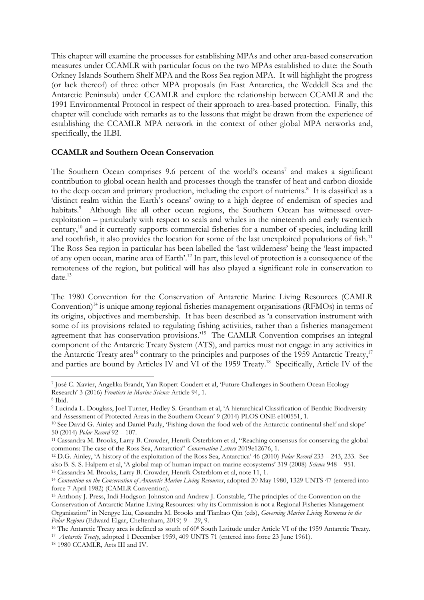This chapter will examine the processes for establishing MPAs and other area-based conservation measures under CCAMLR with particular focus on the two MPAs established to date: the South Orkney Islands Southern Shelf MPA and the Ross Sea region MPA. It will highlight the progress (or lack thereof) of three other MPA proposals (in East Antarctica, the Weddell Sea and the Antarctic Peninsula) under CCAMLR and explore the relationship between CCAMLR and the 1991 Environmental Protocol in respect of their approach to area-based protection. Finally, this chapter will conclude with remarks as to the lessons that might be drawn from the experience of establishing the CCAMLR MPA network in the context of other global MPA networks and, specifically, the ILBI.

## **CCAMLR and Southern Ocean Conservation**

The Southern Ocean comprises  $9.6$  percent of the world's oceans<sup>7</sup> and makes a significant contribution to global ocean health and processes though the transfer of heat and carbon dioxide to the deep ocean and primary production, including the export of nutrients.<sup>8</sup> It is classified as a 'distinct realm within the Earth's oceans' owing to a high degree of endemism of species and habitats.<sup>9</sup> Although like all other ocean regions, the Southern Ocean has witnessed overexploitation – particularly with respect to seals and whales in the nineteenth and early twentieth century,<sup>10</sup> and it currently supports commercial fisheries for a number of species, including krill and toothfish, it also provides the location for some of the last unexploited populations of fish.<sup>11</sup> The Ross Sea region in particular has been labelled the 'last wilderness' being the 'least impacted of any open ocean, marine area of Earth'.<sup>12</sup> In part, this level of protection is a consequence of the remoteness of the region, but political will has also played a significant role in conservation to date. 13

The 1980 Convention for the Conservation of Antarctic Marine Living Resources (CAMLR Convention)<sup>14</sup> is unique among regional fisheries management organisations (RFMOs) in terms of its origins, objectives and membership. It has been described as 'a conservation instrument with some of its provisions related to regulating fishing activities, rather than a fisheries management agreement that has conservation provisions.'<sup>15</sup> The CAMLR Convention comprises an integral component of the Antarctic Treaty System (ATS), and parties must not engage in any activities in the Antarctic Treaty area<sup>16</sup> contrary to the principles and purposes of the 1959 Antarctic Treaty,<sup>17</sup> and parties are bound by Articles IV and VI of the 1959 Treaty.<sup>18</sup> Specifically, Article IV of the

<sup>7</sup> José C. Xavier, Angelika Brandt, Yan Ropert-Coudert et al, 'Future Challenges in Southern Ocean Ecology Research' 3 (2016) *Frontiers in Marine Science* Article 94, 1.

<sup>8</sup> Ibid.

<sup>9</sup> Lucinda L. Douglass, Joel Turner, Hedley S. Grantham et al, 'A hierarchical Classification of Benthic Biodiversity and Assessment of Protected Areas in the Southern Ocean' 9 (2014) PLOS ONE e100551, 1.

<sup>10</sup> See David G. Ainley and Daniel Pauly, 'Fishing down the food web of the Antarctic continental shelf and slope' 50 (2014) *Polar Record* 92 – 107.

<sup>11</sup> Cassandra M. Brooks, Larry B. Crowder, Henrik Österblom et al, "Reaching consensus for conserving the global commons: The case of the Ross Sea, Antarctica" *Conservation Letters* 2019e12676, 1.

<sup>12</sup> D.G. Ainley, 'A history of the exploitation of the Ross Sea, Antarctica' 46 (2010) *Polar Record* 233 – 243, 233. See also B. S. S. Halpern et al, 'A global map of human impact on marine ecosystems' 319 (2008) *Science* 948 – 951. <sup>13</sup> Cassandra M. Brooks, Larry B. Crowder, Henrik Österblom et al, note 11, 1.

<sup>14</sup> *Convention on the Conservation of Antarctic Marine Living Resources*, adopted 20 May 1980, 1329 UNTS 47 (entered into force 7 April 1982) (CAMLR Convention).

<sup>15</sup> Anthony J. Press, Indi Hodgson-Johnston and Andrew J. Constable, 'The principles of the Convention on the Conservation of Antarctic Marine Living Resources: why its Commission is not a Regional Fisheries Management Organisation" in Nengye Liu, Cassandra M. Brooks and Tianbao Qin (eds), *Governing Marine Living Resources in the Polar Regions* (Edward Elgar, Cheltenham, 2019) 9 – 29, 9.

 $16$  The Antarctic Treaty area is defined as south of  $60^0$  South Latitude under Article VI of the 1959 Antarctic Treaty. 17  *Antarctic Treaty*, adopted 1 December 1959, 409 UNTS 71 (entered into force 23 June 1961).

<sup>18</sup> 1980 CCAMLR, Arts III and IV.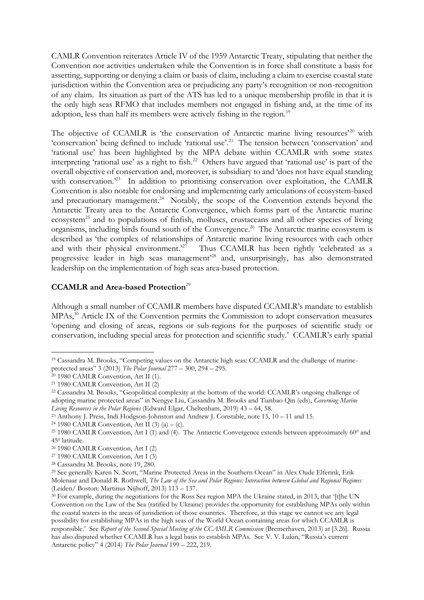CAMLR Convention reiterates Article IV of the 1959 Antarctic Treaty, stipulating that neither the Convention nor activities undertaken while the Convention is in force shall constitute a basis for asserting, supporting or denying a claim or basis of claim, including a claim to exercise coastal state jurisdiction within the Convention area or prejudicing any party's recognition or non-recognition of any claim. Its situation as part of the ATS has led to a unique membership profile in that it is the only high seas RFMO that includes members not engaged in fishing and, at the time of its adoption, less than half its members were actively fishing in the region.<sup>19</sup>

The objective of CCAMLR is 'the conservation of Antarctic marine living resources'<sup>20</sup> with 'conservation' being defined to include 'rational use'.<sup>21</sup> The tension between 'conservation' and 'rational use' has been highlighted by the MPA debate within CCAMLR with some states interpreting 'rational use' as a right to fish. 22 Others have argued that 'rational use' is part of the overall objective of conservation and, moreover, is subsidiary to and 'does not have equal standing with conservation.<sup>223</sup> In addition to prioritising conservation over exploitation, the CAMLR Convention is also notable for endorsing and implementing early articulations of ecosystem-based and precautionary management.<sup>24</sup> Notably, the scope of the Convention extends beyond the Antarctic Treaty area to the Antarctic Convergence, which forms part of the Antarctic marine ecosystem<sup>25</sup> and to populations of finfish, molluscs, crustaceans and all other species of living organisms, including birds found south of the Convergence.<sup>26</sup> The Antarctic marine ecosystem is described as 'the complex of relationships of Antarctic marine living resources with each other and with their physical environment.<sup>27</sup> Thus CCAMLR has been rightly 'celebrated as a progressive leader in high seas management'<sup>28</sup> and, unsurprisingly, has also demonstrated leadership on the implementation of high seas area-based protection.

# **CCAMLR and Area-based Protection**<sup>29</sup>

Although a small number of CCAMLR members have disputed CCAMLR's mandate to establish MPAs,<sup>30</sup> Article IX of the Convention permits the Commission to adopt conservation measures 'opening and closing of areas, regions or sub-regions for the purposes of scientific study or conservation, including special areas for protection and scientific study.' CCAMLR's early spatial

l <sup>19</sup> Cassandra M. Brooks, "Competing values on the Antarctic high seas: CCAMLR and the challenge of marineprotected areas" 3 (2013) *The Polar Journal* 277 – 300, 294 – 295.

<sup>20</sup> 1980 CAMLR Convention, Art II (1).

<sup>21</sup> 1980 CAMLR Convention, Art II (2)

<sup>22</sup> Cassandra M. Brooks, "Geopolitical complexity at the bottom of the world: CCAMLR's ongoing challenge of adopting marine protected areas" in Nengye Liu, Cassandra M. Brooks and Tianbao Qin (eds), *Governing Marine Living Resources in the Polar Regions* (Edward Elgar, Cheltenham, 2019) 43 – 64, 58.

<sup>23</sup> Anthony J. Press, Indi Hodgson-Johnston and Andrew J. Constable, note 15, 10 – 11 and 15.

<sup>&</sup>lt;sup>24</sup> 1980 CAMLR Convention, Art II (3) (a) – (c).

<sup>&</sup>lt;sup>25</sup> 1980 CAMLR Convention, Art I (1) and (4). The Antarctic Convergence extends between approximately 60<sup>0</sup> and 45<sup>0</sup> latitude.

<sup>26</sup> 1980 CAMLR Convention, Art I (2)

<sup>27</sup> 1980 CAMLR Convention, Art I (3)

<sup>28</sup> Cassandra M. Brooks, note 19, 280.

<sup>29</sup> See generally Karen N. Scott, "Marine Protected Areas in the Southern Ocean" in Alex Oude Elferink, Erik Molenaar and Donald R. Rothwell, *The Law of the Sea and Polar Regions: Interaction between Global and Regional Regimes* (Leiden/ Boston: Martinus Nijhoff, 2013) 113 – 137.

<sup>&</sup>lt;sup>30</sup> For example, during the negotiations for the Ross Sea region MPA the Ukraine stated, in 2013, that '[t]he UN Convention on the Law of the Sea (ratified by Ukraine) provides the opportunity for establishing MPAs only within the coastal waters in the areas of jurisdiction of those countries. Therefore, at this stage we cannot see any legal possibility for establishing MPAs in the high seas of the World Ocean containing areas for which CCAMLR is responsible.' See *Report of the Second Special Meeting of the CCAMLR Commission* (Bremerhaven, 2013) at [3.26]. Russia has also disputed whether CCAMLR has a legal basis to establish MPAs. See V. V. Lukin, "Russia's current Antarctic policy" 4 (2014) *The Polar Journal* 199 – 222, 219.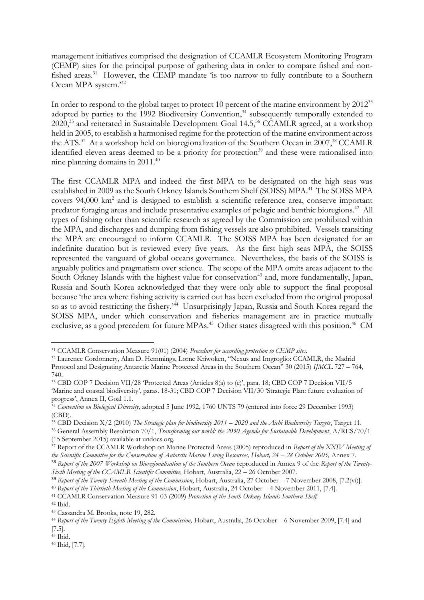management initiatives comprised the designation of CCAMLR Ecosystem Monitoring Program (CEMP) sites for the principal purpose of gathering data in order to compare fished and nonfished areas.<sup>31</sup> However, the CEMP mandate 'is too narrow to fully contribute to a Southern Ocean MPA system.'<sup>32</sup>

In order to respond to the global target to protect 10 percent of the marine environment by 2012<sup>33</sup> adopted by parties to the 1992 Biodiversity Convention, <sup>34</sup> subsequently temporally extended to 2020,<sup>35</sup> and reiterated in Sustainable Development Goal 14.5,<sup>36</sup> CCAMLR agreed, at a workshop held in 2005, to establish a harmonised regime for the protection of the marine environment across the ATS.<sup>37</sup> At a workshop held on bioregionalization of the Southern Ocean in 2007,<sup>38</sup> CCAMLR identified eleven areas deemed to be a priority for protection<sup>39</sup> and these were rationalised into nine planning domains in 2011.<sup>40</sup>

The first CCAMLR MPA and indeed the first MPA to be designated on the high seas was established in 2009 as the South Orkney Islands Southern Shelf (SOISS) MPA.<sup>41</sup> The SOISS MPA covers 94,000 km<sup>2</sup> and is designed to establish a scientific reference area, conserve important predator foraging areas and include presentative examples of pelagic and benthic bioregions.<sup>42</sup> All types of fishing other than scientific research as agreed by the Commission are prohibited within the MPA, and discharges and dumping from fishing vessels are also prohibited. Vessels transiting the MPA are encouraged to inform CCAMLR. The SOISS MPA has been designated for an indefinite duration but is reviewed every five years. As the first high seas MPA, the SOISS represented the vanguard of global oceans governance. Nevertheless, the basis of the SOISS is arguably politics and pragmatism over science. The scope of the MPA omits areas adjacent to the South Orkney Islands with the highest value for conservation<sup>43</sup> and, more fundamentally, Japan, Russia and South Korea acknowledged that they were only able to support the final proposal because 'the area where fishing activity is carried out has been excluded from the original proposal so as to avoid restricting the fishery.<sup>244</sup> Unsurprisingly Japan, Russia and South Korea regard the SOISS MPA, under which conservation and fisheries management are in practice mutually exclusive, as a good precedent for future MPAs.<sup>45</sup> Other states disagreed with this position.<sup>46</sup> CM

<sup>31</sup> CCAMLR Conservation Measure 91(01) (2004) *Procedure for according protection to CEMP sites.*

<sup>32</sup> Laurence Cordonnery, Alan D. Hemmings, Lorne Kriwoken, "Nexus and Imgroglio: CCAMLR, the Madrid Protocol and Designating Antarctic Marine Protected Areas in the Southern Ocean" 30 (2015) *IJMCL* 727 – 764, 740.

<sup>33</sup> CBD COP 7 Decision VII/28 'Protected Areas (Articles 8(a) to (e)', para. 18; CBD COP 7 Decision VII/5 'Marine and coastal biodiversity', paras. 18-31; CBD COP 7 Decision VII/30 'Strategic Plan: future evaluation of progress', Annex II, Goal 1.1.

<sup>34</sup> *Convention on Biological Diversity*, adopted 5 June 1992, 1760 UNTS 79 (entered into force 29 December 1993) (CBD).

<sup>35</sup> CBD Decision X/2 (2010) *The Strategic plan for biodiversity 2011 – 2020 and the Aichi Biodiversity Targets*, Target 11.

<sup>36</sup> General Assembly Resolution 70/1, *Transforming our world: the 2030 Agenda for Sustainable Development*, A/RES/70/1

<sup>(15</sup> September 2015) available at undocs.org.

<sup>37</sup> Report of the CCAMLR Workshop on Marine Protected Areas (2005) reproduced in *Report of the XXIV Meeting of the Scientific Committee for the Conservation of Antarctic Marine Living Resources, Hobart, 24 – 28 October 2005,* Annex 7.

<sup>38</sup> *Report of the 2007 Workshop on Bioregionalisation of the Southern Ocean* reproduced in Annex 9 of the *Report of the Twenty-Sixth Meeting of the CCAMLR Scientific Committee,* Hobart, Australia, 22 – 26 October 2007.

<sup>39</sup> *Report of the Twenty-Seventh Meeting of the Commission*, Hobart, Australia, 27 October – 7 November 2008, [7.2(vi)].

<sup>40</sup> *Report of the Thirtieth Meeting of the Commission*, Hobart, Australia, 24 October – 4 November 2011, [7.4].

<sup>41</sup> CCAMLR Conservation Measure 91-03 (2009) *Protection of the South Orkney Islands Southern Shelf.*

<sup>42</sup> Ibid.

<sup>43</sup> Cassandra M. Brooks, note 19, 282.

<sup>&</sup>lt;sup>44</sup> Report of the Twenty-Eighth Meeting of the Commission, Hobart, Australia, 26 October – 6 November 2009, [7.4] and [7.5].

<sup>45</sup> Ibid.

<sup>46</sup> Ibid, [7.7].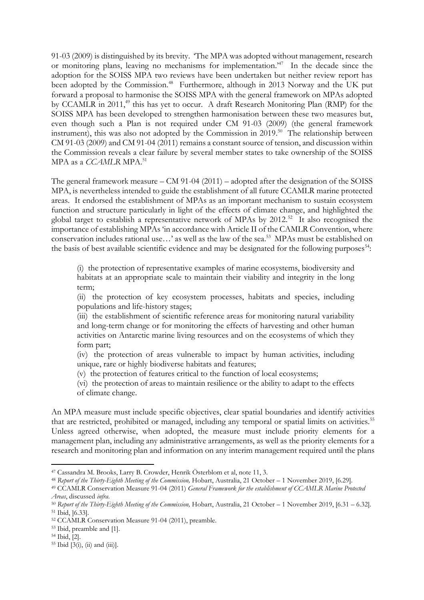91-03 (2009) is distinguished by its brevity. 'The MPA was adopted without management, research or monitoring plans, leaving no mechanisms for implementation.<sup>47</sup> In the decade since the adoption for the SOISS MPA two reviews have been undertaken but neither review report has been adopted by the Commission.<sup>48</sup> Furthermore, although in 2013 Norway and the UK put forward a proposal to harmonise the SOISS MPA with the general framework on MPAs adopted by CCAMLR in 2011,<sup>49</sup> this has yet to occur. A draft Research Monitoring Plan (RMP) for the SOISS MPA has been developed to strengthen harmonisation between these two measures but, even though such a Plan is not required under CM 91-03 (2009) (the general framework instrument), this was also not adopted by the Commission in 2019.<sup>50</sup> The relationship between CM 91-03 (2009) and CM 91-04 (2011) remains a constant source of tension, and discussion within the Commission reveals a clear failure by several member states to take ownership of the SOISS MPA as a *CCAMLR* MPA.<sup>51</sup>

The general framework measure – CM 91-04 (2011) – adopted after the designation of the SOISS MPA, is nevertheless intended to guide the establishment of all future CCAMLR marine protected areas. It endorsed the establishment of MPAs as an important mechanism to sustain ecosystem function and structure particularly in light of the effects of climate change, and highlighted the global target to establish a representative network of MPAs by 2012.<sup>52</sup> It also recognised the importance of establishing MPAs 'in accordance with Article II of the CAMLR Convention, where conservation includes rational use...' as well as the law of the sea.<sup>53</sup> MPAs must be established on the basis of best available scientific evidence and may be designated for the following purposes<sup>54</sup>:

(i) the protection of representative examples of marine ecosystems, biodiversity and habitats at an appropriate scale to maintain their viability and integrity in the long term;

(ii) the protection of key ecosystem processes, habitats and species, including populations and life-history stages;

(iii) the establishment of scientific reference areas for monitoring natural variability and long-term change or for monitoring the effects of harvesting and other human activities on Antarctic marine living resources and on the ecosystems of which they form part;

(iv) the protection of areas vulnerable to impact by human activities, including unique, rare or highly biodiverse habitats and features;

(v) the protection of features critical to the function of local ecosystems;

(vi) the protection of areas to maintain resilience or the ability to adapt to the effects of climate change.

An MPA measure must include specific objectives, clear spatial boundaries and identify activities that are restricted, prohibited or managed, including any temporal or spatial limits on activities.<sup>55</sup> Unless agreed otherwise, when adopted, the measure must include priority elements for a management plan, including any administrative arrangements, as well as the priority elements for a research and monitoring plan and information on any interim management required until the plans

<sup>47</sup> Cassandra M. Brooks, Larry B. Crowder, Henrik Österblom et al, note 11, 3.

<sup>&</sup>lt;sup>48</sup> Report of the Thirty-Eighth Meeting of the Commission, Hobart, Australia, 21 October – 1 November 2019, [6.29].

<sup>49</sup> CCAMLR Conservation Measure 91-04 (2011) *General Framework for the establishment of CCAMLR Marine Protected Areas*, discussed *infra*.

<sup>&</sup>lt;sup>50</sup> Report of the Thirty-Eighth Meeting of the Commission, Hobart, Australia, 21 October – 1 November 2019, [6.31 – 6.32]. <sup>51</sup> Ibid, ]6.33].

<sup>52</sup> CCAMLR Conservation Measure 91-04 (2011), preamble.

<sup>53</sup> Ibid, preamble and [1].

<sup>54</sup> Ibid, [2].

 $55$  Ibid  $[3(i), (ii)$  and  $(iii)$ ].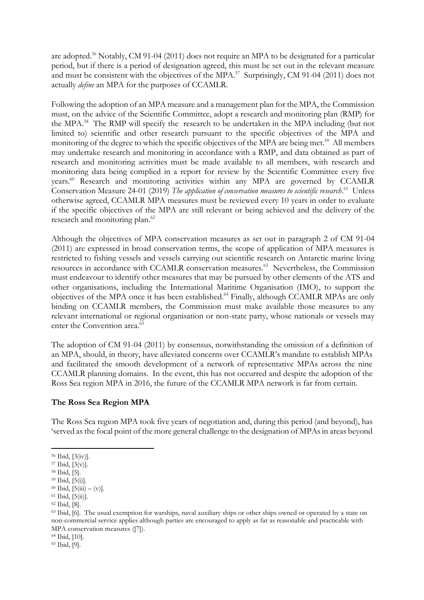are adopted.<sup>56</sup> Notably, CM 91-04 (2011) does not require an MPA to be designated for a particular period, but if there is a period of designation agreed, this must be set out in the relevant measure and must be consistent with the objectives of the MPA.<sup>57</sup> Surprisingly, CM 91-04 (2011) does not actually *define* an MPA for the purposes of CCAMLR.

Following the adoption of an MPA measure and a management plan for the MPA, the Commission must, on the advice of the Scientific Committee, adopt a research and monitoring plan (RMP) for the MPA.<sup>58</sup> The RMP will specify the research to be undertaken in the MPA including (but not limited to) scientific and other research pursuant to the specific objectives of the MPA and monitoring of the degree to which the specific objectives of the MPA are being met.<sup>59</sup> All members may undertake research and monitoring in accordance with a RMP, and data obtained as part of research and monitoring activities must be made available to all members, with research and monitoring data being complied in a report for review by the Scientific Committee every five years.<sup>60</sup> Research and monitoring activities within any MPA are governed by CCAMLR Conservation Measure 24-01 (2019) The application of conservation measures to scientific research.<sup>61</sup> Unless otherwise agreed, CCAMLR MPA measures must be reviewed every 10 years in order to evaluate if the specific objectives of the MPA are still relevant or being achieved and the delivery of the research and monitoring plan.<sup>62</sup>

Although the objectives of MPA conservation measures as set out in paragraph 2 of CM 91-04 (2011) are expressed in broad conservation terms, the scope of application of MPA measures is restricted to fishing vessels and vessels carrying out scientific research on Antarctic marine living resources in accordance with CCAMLR conservation measures.<sup>63</sup> Nevertheless, the Commission must endeavour to identify other measures that may be pursued by other elements of the ATS and other organisations, including the International Maritime Organisation (IMO), to support the objectives of the MPA once it has been established.<sup>64</sup> Finally, although CCAMLR MPAs are only binding on CCAMLR members, the Commission must make available those measures to any relevant international or regional organisation or non-state party, whose nationals or vessels may enter the Convention area.<sup>65</sup>

The adoption of CM 91-04 (2011) by consensus, notwithstanding the omission of a definition of an MPA, should, in theory, have alleviated concerns over CCAMLR's mandate to establish MPAs and facilitated the smooth development of a network of representative MPAs across the nine CCAMLR planning domains. In the event, this has not occurred and despite the adoption of the Ross Sea region MPA in 2016, the future of the CCAMLR MPA network is far from certain.

### **The Ross Sea Region MPA**

The Ross Sea region MPA took five years of negotiation and, during this period (and beyond), has 'served as the focal point of the more general challenge to the designation of MPAs in areas beyond

<sup>62</sup> Ibid, [8].

<sup>64</sup> Ibid, [10].

<sup>65</sup> Ibid, [9].

l <sup>56</sup> Ibid, [3(iv)].

<sup>57</sup> Ibid, [3(v)].

<sup>58</sup> Ibid, [5].

<sup>59</sup> Ibid, [5(i)].

 $60$  Ibid,  $[5(iii) - (v)].$ 

 $61$  Ibid,  $[5(ii)]$ .

<sup>63</sup> Ibid, [6]. The usual exemption for warships, naval auxiliary ships or other ships owned or operated by a state on non-commercial service applies although parties are encouraged to apply as far as reasonable and practicable with MPA conservation measures ([7]).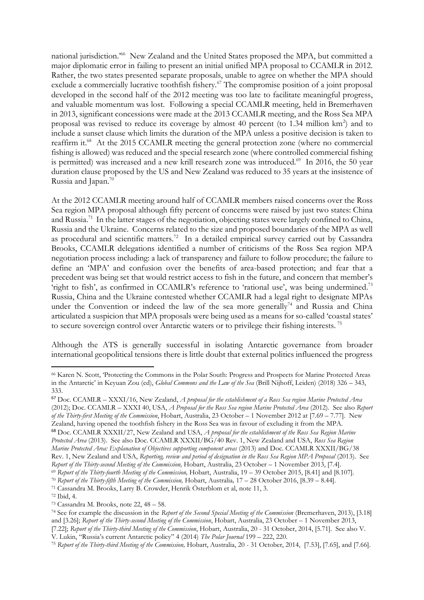national jurisdiction.'<sup>66</sup> New Zealand and the United States proposed the MPA, but committed a major diplomatic error in failing to present an initial unified MPA proposal to CCAMLR in 2012. Rather, the two states presented separate proposals, unable to agree on whether the MPA should exclude a commercially lucrative toothfish fishery.<sup>67</sup> The compromise position of a joint proposal developed in the second half of the 2012 meeting was too late to facilitate meaningful progress, and valuable momentum was lost. Following a special CCAMLR meeting, held in Bremerhaven in 2013, significant concessions were made at the 2013 CCAMLR meeting, and the Ross Sea MPA proposal was revised to reduce its coverage by almost 40 percent (to 1.34 million km<sup>2</sup>) and to include a sunset clause which limits the duration of the MPA unless a positive decision is taken to reaffirm it.<sup>68</sup> At the 2015 CCAMLR meeting the general protection zone (where no commercial fishing is allowed) was reduced and the special research zone (where controlled commercial fishing is permitted) was increased and a new krill research zone was introduced.<sup>69</sup> In 2016, the 50 year duration clause proposed by the US and New Zealand was reduced to 35 years at the insistence of Russia and Japan.<sup>70</sup>

At the 2012 CCAMLR meeting around half of CCAMLR members raised concerns over the Ross Sea region MPA proposal although fifty percent of concerns were raised by just two states: China and Russia.<sup>71</sup> In the latter stages of the negotiation, objecting states were largely confined to China, Russia and the Ukraine. Concerns related to the size and proposed boundaries of the MPA as well as procedural and scientific matters.<sup>72</sup> In a detailed empirical survey carried out by Cassandra Brooks, CCAMLR delegations identified a number of criticisms of the Ross Sea region MPA negotiation process including: a lack of transparency and failure to follow procedure; the failure to define an 'MPA' and confusion over the benefits of area-based protection; and fear that a precedent was being set that would restrict access to fish in the future, and concern that member's 'right to fish', as confirmed in CCAMLR's reference to 'rational use', was being undermined.<sup>73</sup> Russia, China and the Ukraine contested whether CCAMLR had a legal right to designate MPAs under the Convention or indeed the law of the sea more generally<sup>74</sup> and Russia and China articulated a suspicion that MPA proposals were being used as a means for so-called 'coastal states' to secure sovereign control over Antarctic waters or to privilege their fishing interests.<sup>75</sup>

Although the ATS is generally successful in isolating Antarctic governance from broader international geopolitical tensions there is little doubt that external politics influenced the progress

<sup>66</sup> Karen N. Scott, 'Protecting the Commons in the Polar South: Progress and Prospects for Marine Protected Areas in the Antarctic' in Keyuan Zou (ed), *Global Commons and the Law of the Sea* (Brill Nijhoff, Leiden) (2018) 326 – 343, 333.

<sup>67</sup> Doc. CCAMLR – XXXI/16, New Zealand, *A proposal for the establishment of a Ross Sea region Marine Protected Area* (2012); Doc. CCAMLR – XXXI 40, USA, *A Proposal for the Ross Sea region Marine Protected Area* (2012). See also *Report of the Thirty-first Meeting of the Commission*, Hobart, Australia, 23 October – 1 November 2012 at [7.69 – 7.77]. New Zealand, having opened the toothfish fishery in the Ross Sea was in favour of excluding it from the MPA.

<sup>68</sup> Doc. CCAMLR XXXII/27, New Zealand and USA, *A proposal for the establishment of the Ross Sea Region Marine Protected Area* (2013). See also Doc. CCAMLR XXXII/BG/40 Rev. 1, New Zealand and USA, *Ross Sea Region Marine Protected Area: Explanation of Objectives supporting component areas* (2013) and Doc. CCAMLR XXXII/BG/38 Rev. 1, New Zealand and USA, *Reporting, review and period of designation in the Ross Sea Region MPA Proposal* (2013). See *Report of the Thirty-second Meeting of the Commission, Hobart, Australia, 23 October – 1 November 2013, [7.4].* 

<sup>&</sup>lt;sup>69</sup> Report of the Thirty-fourth Meeting of the Commission, Hobart, Australia, 19 – 39 October 2015, [8.41] and [8.107].

<sup>&</sup>lt;sup>70</sup> Report of the Thirty-fifth Meeting of the Commission, Hobart, Australia, 17 – 28 October 2016, [8.39 – 8.44].

<sup>71</sup> Cassandra M. Brooks, Larry B. Crowder, Henrik Österblom et al, note 11, 3.

<sup>72</sup> Ibid, 4.

<sup>73</sup> Cassandra M. Brooks, note 22, 48 – 58.

<sup>74</sup> See for example the discussion in the *Report of the Second Special Meeting of the Commission* (Bremerhaven, 2013), [3.18] and [3.26]; *Report of the Thirty-second Meeting of the Commission*, Hobart, Australia, 23 October – 1 November 2013, [7.22]; *Report of the Thirty-third Meeting of the Commission*, Hobart, Australia, 20 - 31 October, 2014, [5.71]. See also V.

V. Lukin, "Russia's current Antarctic policy" 4 (2014) *The Polar Journal* 199 – 222, 220.

<sup>&</sup>lt;sup>75</sup> Report of the Thirty-third Meeting of the Commission, Hobart, Australia, 20 - 31 October, 2014, [7.53], [7.65], and [7.66].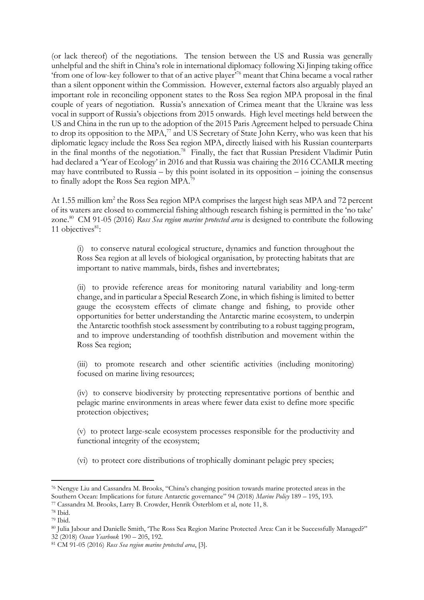(or lack thereof) of the negotiations. The tension between the US and Russia was generally unhelpful and the shift in China's role in international diplomacy following Xi Jinping taking office 'from one of low-key follower to that of an active player'<sup>76</sup> meant that China became a vocal rather than a silent opponent within the Commission. However, external factors also arguably played an important role in reconciling opponent states to the Ross Sea region MPA proposal in the final couple of years of negotiation. Russia's annexation of Crimea meant that the Ukraine was less vocal in support of Russia's objections from 2015 onwards. High level meetings held between the US and China in the run up to the adoption of the 2015 Paris Agreement helped to persuade China to drop its opposition to the MPA, $\frac{7}{7}$  and US Secretary of State John Kerry, who was keen that his diplomatic legacy include the Ross Sea region MPA, directly liaised with his Russian counterparts in the final months of the negotiation.<sup>78</sup> Finally, the fact that Russian President Vladimir Putin had declared a 'Year of Ecology' in 2016 and that Russia was chairing the 2016 CCAMLR meeting may have contributed to Russia – by this point isolated in its opposition – joining the consensus to finally adopt the Ross Sea region MPA.<sup>79</sup>

At 1.55 million km<sup>2</sup> the Ross Sea region MPA comprises the largest high seas MPA and 72 percent of its waters are closed to commercial fishing although research fishing is permitted in the 'no take' zone.<sup>80</sup> CM 91-05 (2016) *Ross Sea region marine protected area* is designed to contribute the following 11 objectives $81$ :

(i) to conserve natural ecological structure, dynamics and function throughout the Ross Sea region at all levels of biological organisation, by protecting habitats that are important to native mammals, birds, fishes and invertebrates;

(ii) to provide reference areas for monitoring natural variability and long-term change, and in particular a Special Research Zone, in which fishing is limited to better gauge the ecosystem effects of climate change and fishing, to provide other opportunities for better understanding the Antarctic marine ecosystem, to underpin the Antarctic toothfish stock assessment by contributing to a robust tagging program, and to improve understanding of toothfish distribution and movement within the Ross Sea region;

(iii) to promote research and other scientific activities (including monitoring) focused on marine living resources;

(iv) to conserve biodiversity by protecting representative portions of benthic and pelagic marine environments in areas where fewer data exist to define more specific protection objectives;

(v) to protect large-scale ecosystem processes responsible for the productivity and functional integrity of the ecosystem;

(vi) to protect core distributions of trophically dominant pelagic prey species;

l <sup>76</sup> Nengye Liu and Cassandra M. Brooks, "China's changing position towards marine protected areas in the Southern Ocean: Implications for future Antarctic governance" 94 (2018) *Marine Policy* 189 – 195, 193.

<sup>77</sup> Cassandra M. Brooks, Larry B. Crowder, Henrik Österblom et al, note 11, 8.

<sup>78</sup> Ibid.

<sup>79</sup> Ibid.

<sup>80</sup> Julia Jabour and Danielle Smith, 'The Ross Sea Region Marine Protected Area: Can it be Successfully Managed?" 32 (2018) *Ocean Yearbook* 190 – 205, 192.

<sup>81</sup> CM 91-05 (2016) *Ross Sea region marine protected area*, [3].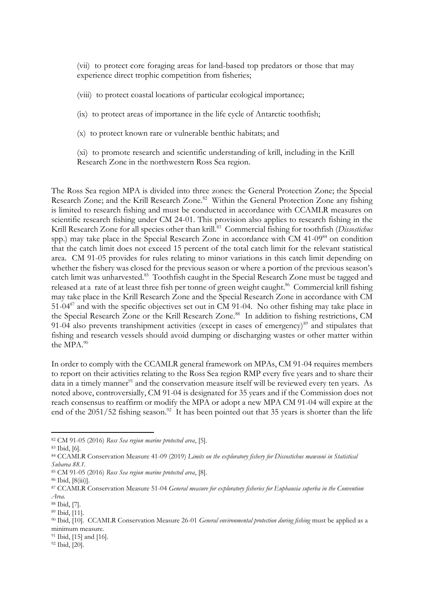(vii) to protect core foraging areas for land-based top predators or those that may experience direct trophic competition from fisheries;

(viii) to protect coastal locations of particular ecological importance;

(ix) to protect areas of importance in the life cycle of Antarctic toothfish;

(x) to protect known rare or vulnerable benthic habitats; and

(xi) to promote research and scientific understanding of krill, including in the Krill Research Zone in the northwestern Ross Sea region.

The Ross Sea region MPA is divided into three zones: the General Protection Zone; the Special Research Zone; and the Krill Research Zone.<sup>82</sup> Within the General Protection Zone any fishing is limited to research fishing and must be conducted in accordance with CCAMLR measures on scientific research fishing under CM 24-01. This provision also applies to research fishing in the Krill Research Zone for all species other than krill.<sup>83</sup> Commercial fishing for toothfish (*Dissostichus* spp.) may take place in the Special Research Zone in accordance with CM 41-09<sup>84</sup> on condition that the catch limit does not exceed 15 percent of the total catch limit for the relevant statistical area. CM 91-05 provides for rules relating to minor variations in this catch limit depending on whether the fishery was closed for the previous season or where a portion of the previous season's catch limit was unharvested.<sup>85</sup> Toothfish caught in the Special Research Zone must be tagged and released at a rate of at least three fish per tonne of green weight caught.<sup>86</sup> Commercial krill fishing may take place in the Krill Research Zone and the Special Research Zone in accordance with CM 51-04<sup>87</sup> and with the specific objectives set out in CM 91-04. No other fishing may take place in the Special Research Zone or the Krill Research Zone.<sup>88</sup> In addition to fishing restrictions, CM 91-04 also prevents transhipment activities (except in cases of emergency)<sup>89</sup> and stipulates that fishing and research vessels should avoid dumping or discharging wastes or other matter within the MPA.<sup>90</sup>

In order to comply with the CCAMLR general framework on MPAs, CM 91-04 requires members to report on their activities relating to the Ross Sea region RMP every five years and to share their data in a timely manner<sup>91</sup> and the conservation measure itself will be reviewed every ten years. As noted above, controversially, CM 91-04 is designated for 35 years and if the Commission does not reach consensus to reaffirm or modify the MPA or adopt a new MPA CM 91-04 will expire at the end of the 2051/52 fishing season.<sup>92</sup> It has been pointed out that 35 years is shorter than the life

<sup>82</sup> CM 91-05 (2016) *Ross Sea region marine protected area*, [5].

<sup>83</sup> Ibid, [6].

<sup>84</sup> CCAMLR Conservation Measure 41-09 (2019) *Limits on the exploratory fishery for Dissostichus mawsoni in Statistical Subarea 88.1.*

<sup>85</sup> CM 91-05 (2016) *Ross Sea region marine protected area*, [8].

<sup>86</sup> Ibid, [8(iii)].

<sup>87</sup> CCAMLR Conservation Measure 51-04 *General measure for exploratory fisheries for Euphausia superba in the Convention Area.*

<sup>88</sup> Ibid, [7].

<sup>89</sup> Ibid, [11].

<sup>90</sup> Ibid, [10]. CCAMLR Conservation Measure 26-01 *General environmental protection during fishing* must be applied as a minimum measure.

<sup>&</sup>lt;sup>91</sup> Ibid, [15] and [16].

<sup>92</sup> Ibid, [20].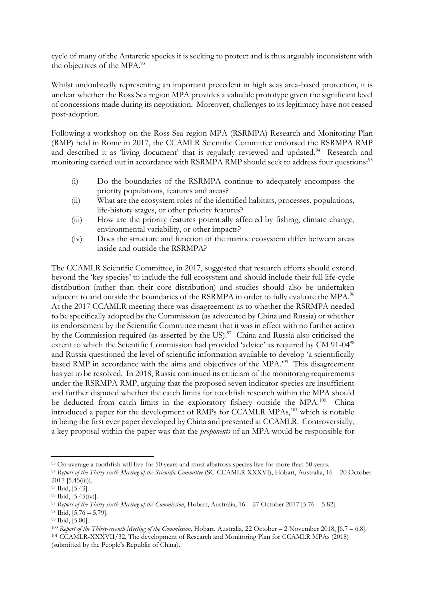cycle of many of the Antarctic species it is seeking to protect and is thus arguably inconsistent with the objectives of the MPA.<sup>93</sup>

Whilst undoubtedly representing an important precedent in high seas area-based protection, it is unclear whether the Ross Sea region MPA provides a valuable prototype given the significant level of concessions made during its negotiation. Moreover, challenges to its legitimacy have not ceased post-adoption.

Following a workshop on the Ross Sea region MPA (RSRMPA) Research and Monitoring Plan (RMP) held in Rome in 2017, the CCAMLR Scientific Committee endorsed the RSRMPA RMP and described it as 'living document' that is regularly reviewed and updated.<sup>94</sup> Research and monitoring carried out in accordance with RSRMPA RMP should seek to address four questions: 95

- (i) Do the boundaries of the RSRMPA continue to adequately encompass the priority populations, features and areas?
- (ii) What are the ecosystem roles of the identified habitats, processes, populations, life-history stages, or other priority features?
- (iii) How are the priority features potentially affected by fishing, climate change, environmental variability, or other impacts?
- (iv) Does the structure and function of the marine ecosystem differ between areas inside and outside the RSRMPA?

The CCAMLR Scientific Committee, in 2017, suggested that research efforts should extend beyond the 'key species' to include the full ecosystem and should include their full life-cycle distribution (rather than their core distribution) and studies should also be undertaken adjacent to and outside the boundaries of the RSRMPA in order to fully evaluate the MPA.<sup>96</sup> At the 2017 CCAMLR meeting there was disagreement as to whether the RSRMPA needed to be specifically adopted by the Commission (as advocated by China and Russia) or whether its endorsement by the Scientific Committee meant that it was in effect with no further action by the Commission required (as asserted by the US).<sup>97</sup> China and Russia also criticised the extent to which the Scientific Commission had provided 'advice' as required by CM 91-04<sup>98</sup> and Russia questioned the level of scientific information available to develop 'a scientifically based RMP in accordance with the aims and objectives of the MPA.'<sup>99</sup> This disagreement has yet to be resolved. In 2018, Russia continued its criticism of the monitoring requirements under the RSRMPA RMP, arguing that the proposed seven indicator species are insufficient and further disputed whether the catch limits for toothfish research within the MPA should be deducted from catch limits in the exploratory fishery outside the MPA.<sup>100</sup> China introduced a paper for the development of RMPs for CCAMLR MPAs,<sup>101</sup> which is notable in being the first ever paper developed by China and presented at CCAMLR. Controversially, a key proposal within the paper was that the *proponents* of an MPA would be responsible for

 $\overline{a}$ 93 On average a toothfish will live for 50 years and most albatross species live for more than 50 years.

<sup>94</sup> *Report of the Thirty-sixth Meeting of the Scientific Committee* (SC-CCAMLR XXXVI), Hobart, Australia, 16 – 20 October 2017 [5.45(iii)].

<sup>95</sup> Ibid, [5.43].

<sup>96</sup> Ibid, [5.45(iv)].

<sup>97</sup> *Report of the Thirty-sixth Meeting of the Commission*, Hobart, Australia, 16 – 27 October 2017 [5.76 – 5.82].

<sup>98</sup> Ibid, [5.76 – 5.79].

<sup>99</sup> Ibid, [5.80].

<sup>100</sup> *Report of the Thirty-seventh Meeting of the Commission*, Hobart, Australia, 22 October – 2 November 2018, [6.7 – 6.8].

<sup>101</sup> CCAMLR-XXXVII/32, The development of Research and Monitoring Plan for CCAMLR MPAs (2018) (submitted by the People's Republic of China).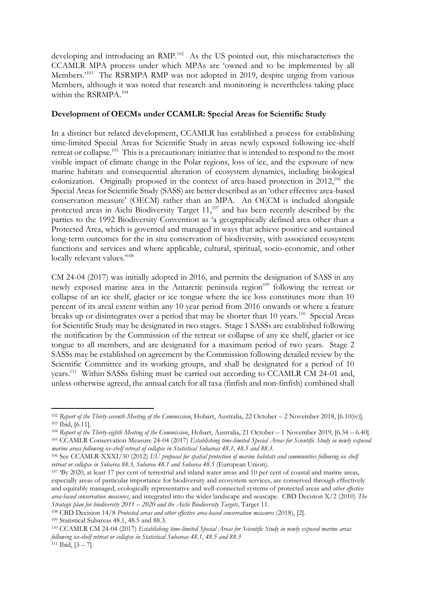developing and introducing an RMP.<sup>102</sup> As the US pointed out, this mischaracterises the CCAMLR MPA process under which MPAs are 'owned and to be implemented by all Members.<sup>2103</sup> The RSRMPA RMP was not adopted in 2019, despite urging from various Members, although it was noted that research and monitoring is nevertheless taking place within the RSRMPA.<sup>104</sup>

### **Development of OECMs under CCAMLR: Special Areas for Scientific Study**

In a distinct but related development, CCAMLR has established a process for establishing time-limited Special Areas for Scientific Study in areas newly exposed following ice-shelf retreat or collapse.<sup>105</sup> This is a precautionary initiative that is intended to respond to the most visible impact of climate change in the Polar regions, loss of ice, and the exposure of new marine habitats and consequential alteration of ecosystem dynamics, including biological colonization. Originally proposed in the context of area-based protection in 2012,<sup>106</sup> the Special Areas for Scientific Study (SASS) are better described as an 'other effective area-based conservation measure' (OECM) rather than an MPA. An OECM is included alongside protected areas in Aichi Biodiversity Target 11,<sup>107</sup> and has been recently described by the parties to the 1992 Biodiversity Convention as 'a geographically defined area other than a Protected Area, which is governed and managed in ways that achieve positive and sustained long-term outcomes for the in situ conservation of biodiversity, with associated ecosystem functions and services and where applicable, cultural, spiritual, socio-economic, and other locally relevant values.'<sup>108</sup>

CM 24-04 (2017) was initially adopted in 2016, and permits the designation of SASS in any newly exposed marine area in the Antarctic peninsula region<sup>109</sup> following the retreat or collapse of an ice shelf, glacier or ice tongue where the ice loss constitutes more than 10 percent of its areal extent within any 10 year period from 2016 onwards or where a feature breaks up or disintegrates over a period that may be shorter than 10 years.<sup>110</sup> Special Areas for Scientific Study may be designated in two stages. Stage 1 SASSs are established following the notification by the Commission of the retreat or collapse of any ice shelf, glacier or ice tongue to all members, and are designated for a maximum period of two years. Stage 2 SASSs may be established on agreement by the Commission following detailed review by the Scientific Committee and its working groups, and shall be designated for a period of 10 years.<sup>111</sup> Within SASSs fishing must be carried out according to CCAMLR CM 24-01 and, unless otherwise agreed, the annual catch for all taxa (finfish and non-finfish) combined shall

<sup>102</sup> *Report of the Thirty-seventh Meeting of the Commission*, Hobart, Australia, 22 October – 2 November 2018, [6.10(iv)]. <sup>103</sup> Ibid, [6.11].

<sup>104</sup> *Report of the Thirty-eighth Meeting of the Commission*, Hobart, Australia, 21 October – 1 November 2019, [6.34 – 6.40]. <sup>105</sup> CCAMLR Conservation Measure 24-04 (2017) *Establishing time-limited Special Areas for Scientific Study in newly exposed marine areas following ice-shelf retreat of collapse in Statistical Subareas 48.1, 48.5 and 88.3.*

<sup>106</sup> See CCAMLR-XXXI/30 (2012) *EU proposal for spatial protection of marine habitats and communities following ice shelf retreat or collapse in Subarea 88.3, Subarea 48.1 and Subarea 48.5* (European Union).

<sup>&</sup>lt;sup>107</sup> 'By 2020, at least 17 per cent of terrestrial and inland water areas and 10 per cent of coastal and marine areas, especially areas of particular importance for biodiversity and ecosystem services, are conserved through effectively and equitably managed, ecologically representative and well-connected systems of protected areas and *other effective area-based conservation measures*, and integrated into the wider landscape and seascape. CBD Decision X/2 (2010) *The Strategic plan for biodiversity 2011 – 2020 and the Aichi Biodiversity Targets*, Target 11.

<sup>108</sup> CBD Decision 14/8 *Protected areas and other effective area-based conservation measures* (2018), [2]. <sup>109</sup> Statistical Subareas 48.1, 48.5 and 88.3.

<sup>110</sup> CCAMLR CM 24-04 (2017) *Establishing time-limited Special Areas for Scientific Study in newly exposed marine areas following ice-shelf retreat or collapse in Statistical Subareas 48.1, 48.5 and 88.3*

 $111$  Ibid,  $[3 - 7]$ .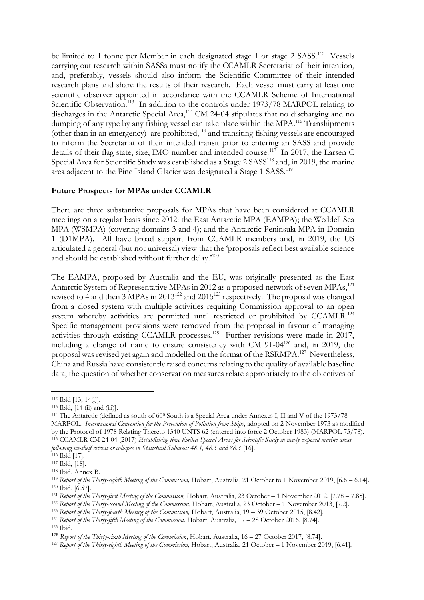be limited to 1 tonne per Member in each designated stage 1 or stage 2 SASS.<sup>112</sup> Vessels carrying out research within SASSs must notify the CCAMLR Secretariat of their intention, and, preferably, vessels should also inform the Scientific Committee of their intended research plans and share the results of their research. Each vessel must carry at least one scientific observer appointed in accordance with the CCAMLR Scheme of International Scientific Observation.<sup>113</sup> In addition to the controls under 1973/78 MARPOL relating to discharges in the Antarctic Special Area,<sup>114</sup> CM 24-04 stipulates that no discharging and no dumping of any type by any fishing vessel can take place within the MPA.<sup>115</sup> Transhipments (other than in an emergency) are prohibited, <sup>116</sup> and transiting fishing vessels are encouraged to inform the Secretariat of their intended transit prior to entering an SASS and provide details of their flag state, size, IMO number and intended course.<sup>117</sup> In 2017, the Larsen C Special Area for Scientific Study was established as a Stage 2 SASS<sup>118</sup> and, in 2019, the marine area adjacent to the Pine Island Glacier was designated a Stage 1 SASS.<sup>119</sup>

### **Future Prospects for MPAs under CCAMLR**

There are three substantive proposals for MPAs that have been considered at CCAMLR meetings on a regular basis since 2012: the East Antarctic MPA (EAMPA); the Weddell Sea MPA (WSMPA) (covering domains 3 and 4); and the Antarctic Peninsula MPA in Domain 1 (D1MPA). All have broad support from CCAMLR members and, in 2019, the US articulated a general (but not universal) view that the 'proposals reflect best available science and should be established without further delay.'<sup>120</sup>

The EAMPA, proposed by Australia and the EU, was originally presented as the East Antarctic System of Representative MPAs in 2012 as a proposed network of seven MPAs, 121 revised to 4 and then 3 MPAs in 2013<sup>122</sup> and 2015<sup>123</sup> respectively. The proposal was changed from a closed system with multiple activities requiring Commission approval to an open system whereby activities are permitted until restricted or prohibited by CCAMLR.<sup>124</sup> Specific management provisions were removed from the proposal in favour of managing activities through existing CCAMLR processes.<sup>125</sup> Further revisions were made in 2017, including a change of name to ensure consistency with CM 91-04<sup>126</sup> and, in 2019, the proposal was revised yet again and modelled on the format of the RSRMPA.<sup>127</sup> Nevertheless, China and Russia have consistently raised concerns relating to the quality of available baseline data, the question of whether conservation measures relate appropriately to the objectives of

<sup>112</sup> Ibid [13, 14(i)].

 $113$  Ibid,  $[14$  (ii) and (iii)].

<sup>114</sup> The Antarctic (defined as south of 60<sup>0</sup> South is a Special Area under Annexes I, II and V of the 1973/78 MARPOL. *International Convention for the Prevention of Pollution from Ships*, adopted on 2 November 1973 as modified by the Protocol of 1978 Relating Thereto 1340 UNTS 62 (entered into force 2 October 1983) (MARPOL 73/78). <sup>115</sup> CCAMLR CM 24-04 (2017) *Establishing time-limited Special Areas for Scientific Study in newly exposed marine areas following ice-shelf retreat or collapse in Statistical Subareas 48.1, 48.5 and 88.3* [16].

<sup>116</sup> Ibid [17].

<sup>117</sup> Ibid, [18].

<sup>118</sup> Ibid, Annex B.

<sup>&</sup>lt;sup>119</sup> *Report of the Thirty-eighth Meeting of the Commission, Hobart, Australia, 21 October to 1 November 2019, [6.6 – 6.14].* <sup>120</sup> Ibid, [6.57].

<sup>121</sup> *Report of the Thirty-first Meeting of the Commission,* Hobart, Australia, 23 October – 1 November 2012, [7.78 – 7.85].

<sup>122</sup> *Report of the Thirty-second Meeting of the Commission*, Hobart, Australia, 23 October – 1 November 2013, [7.2].

<sup>&</sup>lt;sup>123</sup> Report of the Thirty-fourth Meeting of the Commission, Hobart, Australia, 19 – 39 October 2015, [8.42].

<sup>&</sup>lt;sup>124</sup> *Report of the Thirty-fifth Meeting of the Commission, Hobart, Australia, 17 – 28 October 2016, [8.74]*.

<sup>125</sup> Ibid.

<sup>126</sup> *Report of the Thirty-sixth Meeting of the Commission*, Hobart, Australia, 16 – 27 October 2017, [8.74].

<sup>127</sup> *Report of the Thirty-eighth Meeting of the Commission*, Hobart, Australia, 21 October – 1 November 2019, [6.41].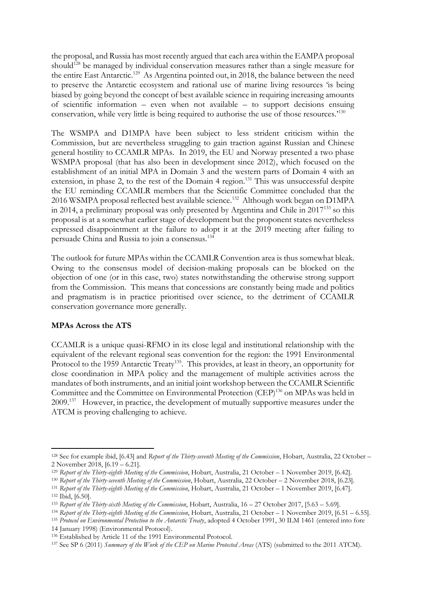the proposal, and Russia has most recently argued that each area within the EAMPA proposal should<sup>128</sup> be managed by individual conservation measures rather than a single measure for the entire East Antarctic.<sup>129</sup> As Argentina pointed out, in 2018, the balance between the need to preserve the Antarctic ecosystem and rational use of marine living resources 'is being biased by going beyond the concept of best available science in requiring increasing amounts of scientific information – even when not available – to support decisions ensuing conservation, while very little is being required to authorise the use of those resources.'<sup>130</sup>

The WSMPA and D1MPA have been subject to less strident criticism within the Commission, but are nevertheless struggling to gain traction against Russian and Chinese general hostility to CCAMLR MPAs. In 2019, the EU and Norway presented a two phase WSMPA proposal (that has also been in development since 2012), which focused on the establishment of an initial MPA in Domain 3 and the western parts of Domain 4 with an extension, in phase 2, to the rest of the Domain 4 region.<sup>131</sup> This was unsuccessful despite the EU reminding CCAMLR members that the Scientific Committee concluded that the 2016 WSMPA proposal reflected best available science.<sup>132</sup> Although work began on D1MPA in 2014, a preliminary proposal was only presented by Argentina and Chile in 2017<sup>133</sup> so this proposal is at a somewhat earlier stage of development but the proponent states nevertheless expressed disappointment at the failure to adopt it at the 2019 meeting after failing to persuade China and Russia to join a consensus.<sup>134</sup>

The outlook for future MPAs within the CCAMLR Convention area is thus somewhat bleak. Owing to the consensus model of decision-making proposals can be blocked on the objection of one (or in this case, two) states notwithstanding the otherwise strong support from the Commission. This means that concessions are constantly being made and politics and pragmatism is in practice prioritised over science, to the detriment of CCAMLR conservation governance more generally.

## **MPAs Across the ATS**

CCAMLR is a unique quasi-RFMO in its close legal and institutional relationship with the equivalent of the relevant regional seas convention for the region: the 1991 Environmental Protocol to the 1959 Antarctic Treaty<sup>135</sup>. This provides, at least in theory, an opportunity for close coordination in MPA policy and the management of multiple activities across the mandates of both instruments, and an initial joint workshop between the CCAMLR Scientific Committee and the Committee on Environmental Protection (CEP)<sup>136</sup> on MPAs was held in 2009.<sup>137</sup> However, in practice, the development of mutually supportive measures under the ATCM is proving challenging to achieve.

l <sup>128</sup> See for example ibid, [6.43] and *Report of the Thirty-seventh Meeting of the Commission*, Hobart, Australia, 22 October – 2 November 2018, [6.19 – 6.21].

<sup>129</sup> *Report of the Thirty-eighth Meeting of the Commission*, Hobart, Australia, 21 October – 1 November 2019, [6.42].

<sup>130</sup> *Report of the Thirty-seventh Meeting of the Commission*, Hobart, Australia, 22 October – 2 November 2018, [6.23].

<sup>131</sup> *Report of the Thirty-eighth Meeting of the Commission*, Hobart, Australia, 21 October – 1 November 2019, [6.47]. <sup>132</sup> Ibid, [6.50].

<sup>133</sup> *Report of the Thirty-sixth Meeting of the Commission*, Hobart, Australia, 16 – 27 October 2017, [5.63 – 5.69].

<sup>134</sup> *Report of the Thirty-eighth Meeting of the Commission*, Hobart, Australia, 21 October – 1 November 2019, [6.51 – 6.55].

<sup>135</sup> *Protocol on Environmental Protection to the Antarctic Treaty*, adopted 4 October 1991, 30 ILM 1461 (entered into fore

<sup>14</sup> January 1998) (Environmental Protocol).

<sup>136</sup> Established by Article 11 of the 1991 Environmental Protocol.

<sup>137</sup> See SP 6 (2011) *Summary of the Work of the CEP on Marine Protected Areas* (ATS) (submitted to the 2011 ATCM).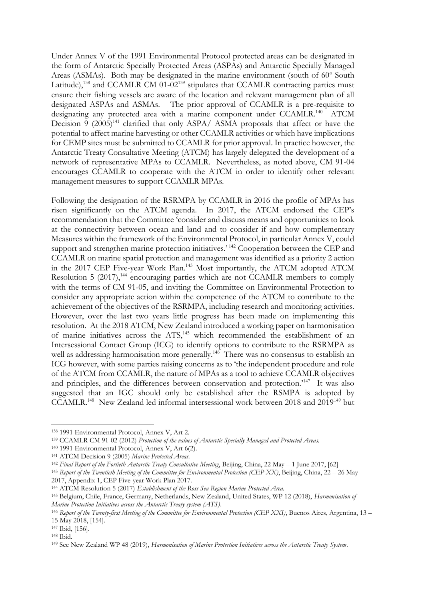Under Annex V of the 1991 Environmental Protocol protected areas can be designated in the form of Antarctic Specially Protected Areas (ASPAs) and Antarctic Specially Managed Areas (ASMAs). Both may be designated in the marine environment (south of 60° South Latitude),<sup>138</sup> and CCAMLR CM 01-02<sup>139</sup> stipulates that CCAMLR contracting parties must ensure their fishing vessels are aware of the location and relevant management plan of all designated ASPAs and ASMAs. The prior approval of CCAMLR is a pre-requisite to designating any protected area with a marine component under CCAMLR.<sup>140</sup> ATCM Decision 9  $(2005)^{141}$  clarified that only ASPA/ ASMA proposals that affect or have the potential to affect marine harvesting or other CCAMLR activities or which have implications for CEMP sites must be submitted to CCAMLR for prior approval. In practice however, the Antarctic Treaty Consultative Meeting (ATCM) has largely delegated the development of a network of representative MPAs to CCAMLR. Nevertheless, as noted above, CM 91-04 encourages CCAMLR to cooperate with the ATCM in order to identify other relevant management measures to support CCAMLR MPAs.

Following the designation of the RSRMPA by CCAMLR in 2016 the profile of MPAs has risen significantly on the ATCM agenda. In 2017, the ATCM endorsed the CEP's recommendation that the Committee 'consider and discuss means and opportunities to look at the connectivity between ocean and land and to consider if and how complementary Measures within the framework of the Environmental Protocol, in particular Annex V, could support and strengthen marine protection initiatives.<sup>'142</sup> Cooperation between the CEP and CCAMLR on marine spatial protection and management was identified as a priority 2 action in the 2017 CEP Five-year Work Plan.<sup>143</sup> Most importantly, the ATCM adopted ATCM Resolution 5 (2017),<sup>144</sup> encouraging parties which are not CCAMLR members to comply with the terms of CM 91-05, and inviting the Committee on Environmental Protection to consider any appropriate action within the competence of the ATCM to contribute to the achievement of the objectives of the RSRMPA, including research and monitoring activities. However, over the last two years little progress has been made on implementing this resolution. At the 2018 ATCM, New Zealand introduced a working paper on harmonisation of marine initiatives across the ATS,<sup>145</sup> which recommended the establishment of an Intersessional Contact Group (ICG) to identify options to contribute to the RSRMPA as well as addressing harmonisation more generally.<sup>146</sup> There was no consensus to establish an ICG however, with some parties raising concerns as to 'the independent procedure and role of the ATCM from CCAMLR, the nature of MPAs as a tool to achieve CCAMLR objectives and principles, and the differences between conservation and protection.<sup>'147</sup> It was also suggested that an IGC should only be established after the RSMPA is adopted by CCAMLR.<sup>148</sup> New Zealand led informal intersessional work between 2018 and 2019<sup>149</sup> but

<sup>138</sup> 1991 Environmental Protocol, Annex V, Art 2.

<sup>139</sup> CCAMLR CM 91-02 (2012) *Protection of the values of Antarctic Specially Managed and Protected Areas.*

<sup>140</sup> 1991 Environmental Protocol, Annex V, Art 6(2).

<sup>141</sup> ATCM Decision 9 (2005) *Marine Protected Areas.*

<sup>142</sup> *Final Report of the Fortieth Antarctic Treaty Consultative Meeting*, Beijing, China, 22 May – 1 June 2017, [62]

<sup>143</sup> *Report of the Twentieth Meeting of the Committee for Environmental Protection (CEP XX)*, Beijing, China, 22 – 26 May 2017, Appendix 1, CEP Five-year Work Plan 2017.

<sup>144</sup> ATCM Resolution 5 (2017) *Establishment of the Ross Sea Region Marine Protected Area.*

<sup>145</sup> Belgium, Chile, France, Germany, Netherlands, New Zealand, United States, WP 12 (2018), *Harmonisation of Marine Protection Initiatives across the Antarctic Treaty system (ATS)*.

<sup>146</sup> *Report of the Twenty-first Meeting of the Committee for Environmental Protection (CEP XXI)*, Buenos Aires, Argentina, 13 – 15 May 2018, [154].

<sup>147</sup> Ibid, [156].

<sup>148</sup> Ibid.

<sup>149</sup> See New Zealand WP 48 (2019), *Harmonisation of Marine Protection Initiatives across the Antarctic Treaty System*.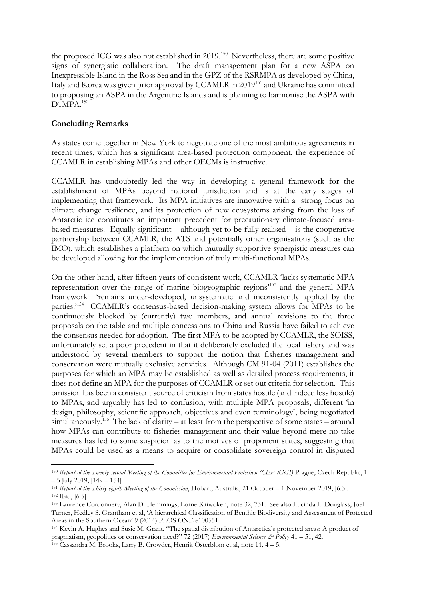the proposed ICG was also not established in 2019.<sup>150</sup> Nevertheless, there are some positive signs of synergistic collaboration. The draft management plan for a new ASPA on Inexpressible Island in the Ross Sea and in the GPZ of the RSRMPA as developed by China, Italy and Korea was given prior approval by CCAMLR in 2019<sup>151</sup> and Ukraine has committed to proposing an ASPA in the Argentine Islands and is planning to harmonise the ASPA with D<sub>1</sub>MP<sub>A.<sup>152</sup></sub>

### **Concluding Remarks**

 $\overline{a}$ 

As states come together in New York to negotiate one of the most ambitious agreements in recent times, which has a significant area-based protection component, the experience of CCAMLR in establishing MPAs and other OECMs is instructive.

CCAMLR has undoubtedly led the way in developing a general framework for the establishment of MPAs beyond national jurisdiction and is at the early stages of implementing that framework. Its MPA initiatives are innovative with a strong focus on climate change resilience, and its protection of new ecosystems arising from the loss of Antarctic ice constitutes an important precedent for precautionary climate-focused areabased measures. Equally significant – although yet to be fully realised – is the cooperative partnership between CCAMLR, the ATS and potentially other organisations (such as the IMO), which establishes a platform on which mutually supportive synergistic measures can be developed allowing for the implementation of truly multi-functional MPAs.

On the other hand, after fifteen years of consistent work, CCAMLR 'lacks systematic MPA representation over the range of marine biogeographic regions'<sup>153</sup> and the general MPA framework 'remains under-developed, unsystematic and inconsistently applied by the parties.'<sup>154</sup> CCAMLR's consensus-based decision-making system allows for MPAs to be continuously blocked by (currently) two members, and annual revisions to the three proposals on the table and multiple concessions to China and Russia have failed to achieve the consensus needed for adoption. The first MPA to be adopted by CCAMLR, the SOISS, unfortunately set a poor precedent in that it deliberately excluded the local fishery and was understood by several members to support the notion that fisheries management and conservation were mutually exclusive activities. Although CM 91-04 (2011) establishes the purposes for which an MPA may be established as well as detailed process requirements, it does not define an MPA for the purposes of CCAMLR or set out criteria for selection. This omission has been a consistent source of criticism from states hostile (and indeed less hostile) to MPAs, and arguably has led to confusion, with multiple MPA proposals, different 'in design, philosophy, scientific approach, objectives and even terminology', being negotiated simultaneously.<sup>155</sup> The lack of clarity – at least from the perspective of some states – around how MPAs can contribute to fisheries management and their value beyond mere no-take measures has led to some suspicion as to the motives of proponent states, suggesting that MPAs could be used as a means to acquire or consolidate sovereign control in disputed

<sup>&</sup>lt;sup>150</sup> Report of the Twenty-second Meeting of the Committee for Environmental Protection (CEP XXII) Prague, Czech Republic, 1 – 5 July 2019, [149 – 154]

<sup>151</sup> *Report of the Thirty-eighth Meeting of the Commission*, Hobart, Australia, 21 October – 1 November 2019, [6.3]. <sup>152</sup> Ibid, [6.5].

<sup>153</sup> Laurence Cordonnery, Alan D. Hemmings, Lorne Kriwoken, note 32, 731. See also Lucinda L. Douglass, Joel Turner, Hedley S. Grantham et al, 'A hierarchical Classification of Benthic Biodiversity and Assessment of Protected Areas in the Southern Ocean' 9 (2014) PLOS ONE e100551.

<sup>154</sup> Kevin A. Hughes and Susie M. Grant, "The spatial distribution of Antarctica's protected areas: A product of pragmatism, geopolitics or conservation need?" 72 (2017) *Environmental Science & Policy* 41 – 51, 42. <sup>155</sup> Cassandra M. Brooks, Larry B. Crowder, Henrik Österblom et al, note 11, 4 – 5.